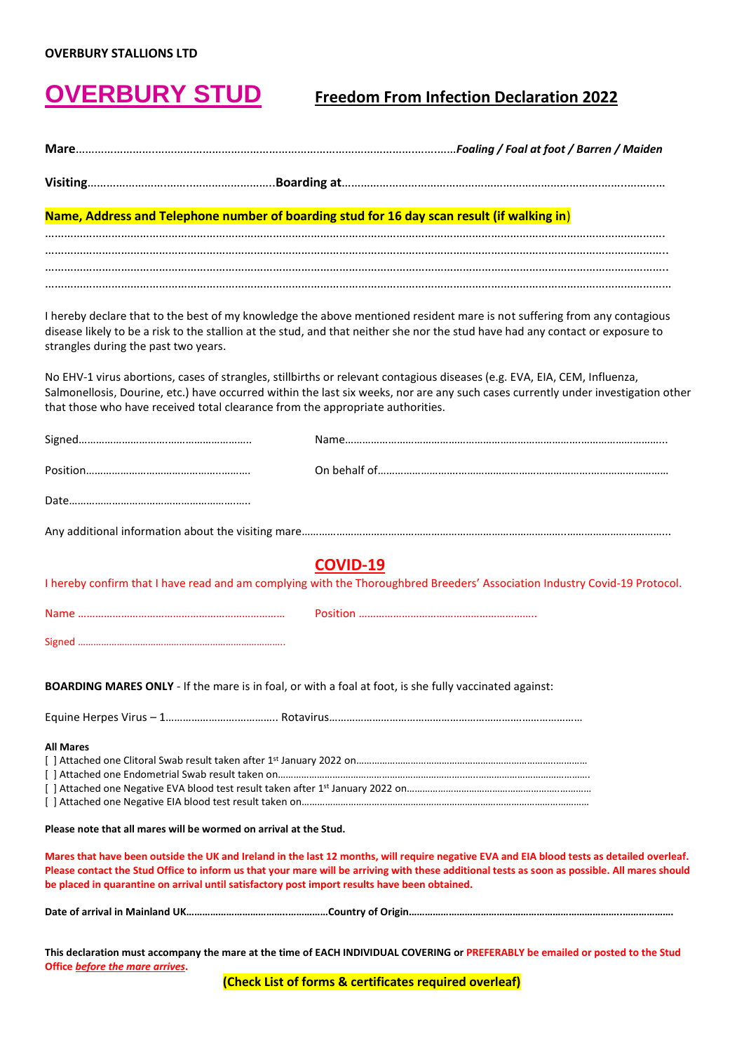## **OVERBURY STUD Freedom From Infection Declaration 2022**

|                                                                                               | Name, Address and Telephone number of boarding stud for 16 day scan result (if walking in)                                                                                                                                                                                                  |
|-----------------------------------------------------------------------------------------------|---------------------------------------------------------------------------------------------------------------------------------------------------------------------------------------------------------------------------------------------------------------------------------------------|
|                                                                                               |                                                                                                                                                                                                                                                                                             |
|                                                                                               |                                                                                                                                                                                                                                                                                             |
| strangles during the past two years.                                                          | I hereby declare that to the best of my knowledge the above mentioned resident mare is not suffering from any contagious<br>disease likely to be a risk to the stallion at the stud, and that neither she nor the stud have had any contact or exposure to                                  |
| that those who have received total clearance from the appropriate authorities.                | No EHV-1 virus abortions, cases of strangles, stillbirths or relevant contagious diseases (e.g. EVA, EIA, CEM, Influenza,<br>Salmonellosis, Dourine, etc.) have occurred within the last six weeks, nor are any such cases currently under investigation other                              |
|                                                                                               |                                                                                                                                                                                                                                                                                             |
|                                                                                               |                                                                                                                                                                                                                                                                                             |
|                                                                                               |                                                                                                                                                                                                                                                                                             |
|                                                                                               |                                                                                                                                                                                                                                                                                             |
|                                                                                               | COVID-19<br>I hereby confirm that I have read and am complying with the Thoroughbred Breeders' Association Industry Covid-19 Protocol.                                                                                                                                                      |
|                                                                                               |                                                                                                                                                                                                                                                                                             |
|                                                                                               |                                                                                                                                                                                                                                                                                             |
|                                                                                               | BOARDING MARES ONLY - If the mare is in foal, or with a foal at foot, is she fully vaccinated against:                                                                                                                                                                                      |
|                                                                                               |                                                                                                                                                                                                                                                                                             |
| <b>All Mares</b>                                                                              |                                                                                                                                                                                                                                                                                             |
| Please note that all mares will be wormed on arrival at the Stud.                             |                                                                                                                                                                                                                                                                                             |
| be placed in quarantine on arrival until satisfactory post import results have been obtained. | Mares that have been outside the UK and Ireland in the last 12 months, will require negative EVA and EIA blood tests as detailed overleaf.<br>Please contact the Stud Office to inform us that your mare will be arriving with these additional tests as soon as possible. All mares should |
|                                                                                               |                                                                                                                                                                                                                                                                                             |
| Office before the mare arrives.                                                               | This declaration must accompany the mare at the time of EACH INDIVIDUAL COVERING or PREFERABLY be emailed or posted to the Stud                                                                                                                                                             |

**(Check List of forms & certificates required overleaf)**